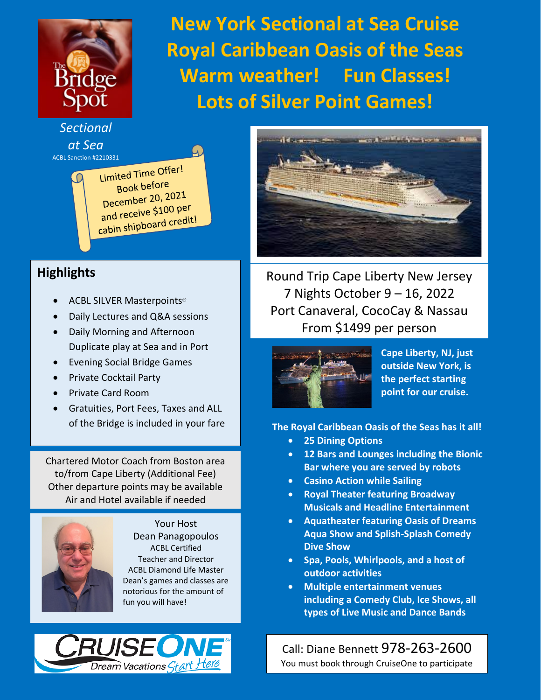

**New York Sectional at Sea Cruise Royal Caribbean Oasis of the Seas Warm weather! Fun Classes! Lots of Silver Point Games!**

*Sectional at Sea*

ACBL Sanction #2210331<br> **COLL** Fimited Time Offer! Book before Book Below<br>December 20, 2021 December 20, 200 per<br>and receive \$100 per and receive store and redit!

## **Highlights**

- ACBL SILVER Masterpoints
- Daily Lectures and Q&A sessions
- Daily Morning and Afternoon Duplicate play at Sea and in Port
- Evening Social Bridge Games
- Private Cocktail Party
- Private Card Room
- Gratuities, Port Fees, Taxes and ALL of the Bridge is included in your fare

Chartered Motor Coach from Boston area to/from Cape Liberty (Additional Fee) Other departure points may be available Air and Hotel available if needed



Your Host Dean Panagopoulos ACBL Certified Teacher and Director ACBL Diamond Life Master Dean's games and classes are notorious for the amount of fun you will have!





Round Trip Cape Liberty New Jersey 7 Nights October 9 – 16, 2022 Port Canaveral, CocoCay & Nassau From \$1499 per person



**Cape Liberty, NJ, just outside New York, is the perfect starting point for our cruise.**

**The Royal Caribbean Oasis of the Seas has it all!** 

- **25 Dining Options**
- **12 Bars and Lounges including the Bionic Bar where you are served by robots**
- **Casino Action while Sailing**
- **Royal Theater featuring Broadway Musicals and Headline Entertainment**
- **Aquatheater featuring Oasis of Dreams Aqua Show and Splish-Splash Comedy Dive Show**
- **Spa, Pools, Whirlpools, and a host of outdoor activities**
- **Multiple entertainment venues including a Comedy Club, Ice Shows, all types of Live Music and Dance Bands**

Call: Diane Bennett 978-263-2600 You must book through CruiseOne to participate